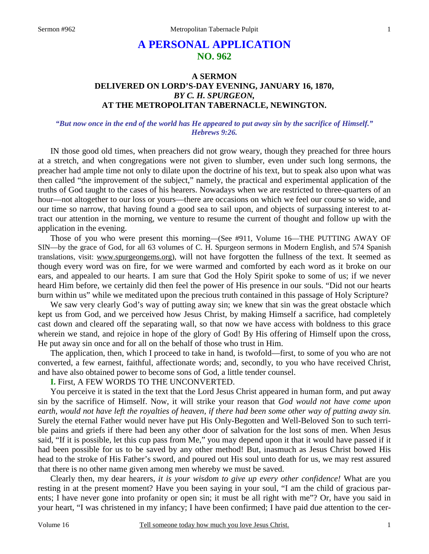# **A PERSONAL APPLICATION NO. 962**

# **A SERMON DELIVERED ON LORD'S-DAY EVENING, JANUARY 16, 1870,**  *BY C. H. SPURGEON,*  **AT THE METROPOLITAN TABERNACLE, NEWINGTON.**

## *"But now once in the end of the world has He appeared to put away sin by the sacrifice of Himself." Hebrews 9:26.*

IN those good old times, when preachers did not grow weary, though they preached for three hours at a stretch, and when congregations were not given to slumber, even under such long sermons, the preacher had ample time not only to dilate upon the doctrine of his text, but to speak also upon what was then called "the improvement of the subject," namely, the practical and experimental application of the truths of God taught to the cases of his hearers. Nowadays when we are restricted to three-quarters of an hour—not altogether to our loss or yours—there are occasions on which we feel our course so wide, and our time so narrow, that having found a good sea to sail upon, and objects of surpassing interest to attract our attention in the morning, we venture to resume the current of thought and follow up with the application in the evening.

Those of you who were present this morning—(See #911, Volume 16—THE PUTTING AWAY OF SIN—by the grace of God, for all 63 volumes of C. H. Spurgeon sermons in Modern English, and 574 Spanish translations, visit: www.spurgeongems.org), will not have forgotten the fullness of the text. It seemed as though every word was on fire, for we were warmed and comforted by each word as it broke on our ears, and appealed to our hearts. I am sure that God the Holy Spirit spoke to some of us; if we never heard Him before, we certainly did then feel the power of His presence in our souls. "Did not our hearts burn within us" while we meditated upon the precious truth contained in this passage of Holy Scripture?

We saw very clearly God's way of putting away sin; we knew that sin was the great obstacle which kept us from God, and we perceived how Jesus Christ, by making Himself a sacrifice, had completely cast down and cleared off the separating wall, so that now we have access with boldness to this grace wherein we stand, and rejoice in hope of the glory of God! By His offering of Himself upon the cross, He put away sin once and for all on the behalf of those who trust in Him.

The application, then, which I proceed to take in hand, is twofold—first, to some of you who are not converted, a few earnest, faithful, affectionate words; and, secondly, to you who have received Christ, and have also obtained power to become sons of God, a little tender counsel.

**I.** First, A FEW WORDS TO THE UNCONVERTED.

You perceive it is stated in the text that the Lord Jesus Christ appeared in human form, and put away sin by the sacrifice of Himself. Now, it will strike your reason that *God would not have come upon earth, would not have left the royalties of heaven, if there had been some other way of putting away sin.*  Surely the eternal Father would never have put His Only-Begotten and Well-Beloved Son to such terrible pains and griefs if there had been any other door of salvation for the lost sons of men. When Jesus said, "If it is possible, let this cup pass from Me," you may depend upon it that it would have passed if it had been possible for us to be saved by any other method! But, inasmuch as Jesus Christ bowed His head to the stroke of His Father's sword, and poured out His soul unto death for us, we may rest assured that there is no other name given among men whereby we must be saved.

Clearly then, my dear hearers, *it is your wisdom to give up every other confidence!* What are you resting in at the present moment? Have you been saying in your soul, "I am the child of gracious parents; I have never gone into profanity or open sin; it must be all right with me"? Or, have you said in your heart, "I was christened in my infancy; I have been confirmed; I have paid due attention to the cer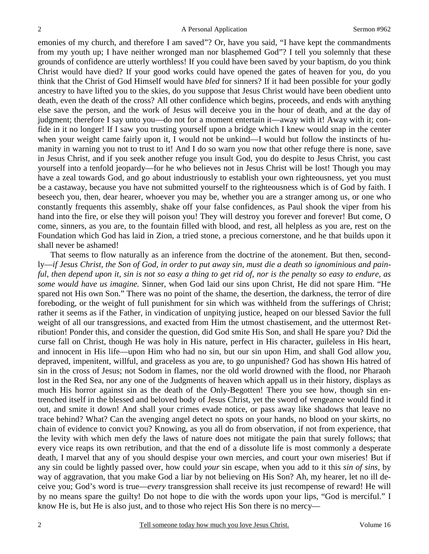emonies of my church, and therefore I am saved"? Or, have you said, "I have kept the commandments from my youth up; I have neither wronged man nor blasphemed God"? I tell you solemnly that these grounds of confidence are utterly worthless! If you could have been saved by your baptism, do you think Christ would have died? If your good works could have opened the gates of heaven for you, do you think that the Christ of God Himself would have *bled* for sinners? If it had been possible for your godly ancestry to have lifted you to the skies, do you suppose that Jesus Christ would have been obedient unto death, even the death of the cross? All other confidence which begins, proceeds, and ends with anything else save the person, and the work of Jesus will deceive you in the hour of death, and at the day of judgment; therefore I say unto you—do not for a moment entertain it—away with it! Away with it; confide in it no longer! If I saw you trusting yourself upon a bridge which I knew would snap in the center when your weight came fairly upon it, I would not be unkind—I would but follow the instincts of humanity in warning you not to trust to it! And I do so warn you now that other refuge there is none, save in Jesus Christ, and if you seek another refuge you insult God, you do despite to Jesus Christ, you cast yourself into a tenfold jeopardy—for he who believes not in Jesus Christ will be lost! Though you may have a zeal towards God, and go about industriously to establish your own righteousness, yet you must be a castaway, because you have not submitted yourself to the righteousness which is of God by faith. I beseech you, then, dear hearer, whoever you may be, whether you are a stranger among us, or one who constantly frequents this assembly, shake off your false confidences, as Paul shook the viper from his hand into the fire, or else they will poison you! They will destroy you forever and forever! But come, O come, sinners, as you are, to the fountain filled with blood, and rest, all helpless as you are, rest on the Foundation which God has laid in Zion, a tried stone, a precious cornerstone, and he that builds upon it shall never be ashamed!

That seems to flow naturally as an inference from the doctrine of the atonement. But then, secondly—*if Jesus Christ, the Son of God, in order to put away sin, must die a death so ignominious and painful, then depend upon it, sin is not so easy a thing to get rid of, nor is the penalty so easy to endure, as some would have us imagine.* Sinner, when God laid our sins upon Christ, He did not spare Him. "He spared not His own Son." There was no point of the shame, the desertion, the darkness, the terror of dire foreboding, or the weight of full punishment for sin which was withheld from the sufferings of Christ; rather it seems as if the Father, in vindication of unpitying justice, heaped on our blessed Savior the full weight of all our transgressions, and exacted from Him the utmost chastisement, and the uttermost Retribution! Ponder this, and consider the question, did God smite His Son, and shall He spare you? Did the curse fall on Christ, though He was holy in His nature, perfect in His character, guileless in His heart, and innocent in His life—upon Him who had no sin, but our sin upon Him, and shall God allow *you*, depraved, impenitent, willful, and graceless as you are, to go unpunished? God has shown His hatred of sin in the cross of Jesus; not Sodom in flames, nor the old world drowned with the flood, nor Pharaoh lost in the Red Sea, nor any one of the Judgments of heaven which appall us in their history, displays as much His horror against sin as the death of the Only-Begotten! There you see how, though sin entrenched itself in the blessed and beloved body of Jesus Christ, yet the sword of vengeance would find it out, and smite it down! And shall your crimes evade notice, or pass away like shadows that leave no trace behind? What? Can the avenging angel detect no spots on your hands, no blood on your skirts, no chain of evidence to convict you? Knowing, as you all do from observation, if not from experience, that the levity with which men defy the laws of nature does not mitigate the pain that surely follows; that every vice reaps its own retribution, and that the end of a dissolute life is most commonly a desperate death, I marvel that any of you should despise your own mercies, and court your own miseries! But if any sin could be lightly passed over, how could *your* sin escape, when you add to it this *sin of sins*, by way of aggravation, that you make God a liar by not believing on His Son? Ah, my hearer, let no ill deceive you; God's word is true—*every* transgression shall receive its just recompense of reward! He will by no means spare the guilty! Do not hope to die with the words upon your lips, "God is merciful." I know He is, but He is also just, and to those who reject His Son there is no mercy—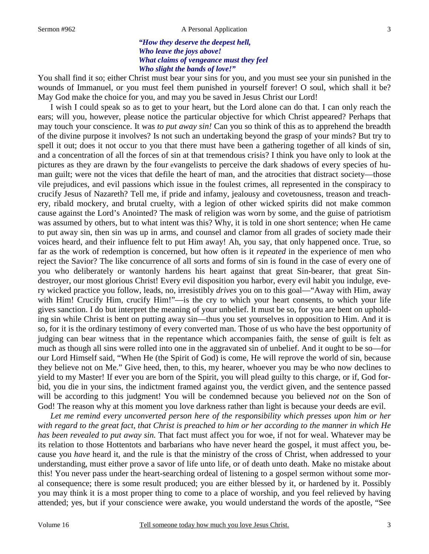#### Sermon #962 A Personal Application

## *"How they deserve the deepest hell, Who leave the joys above! What claims of vengeance must they feel Who slight the bands of love!"*

You shall find it so; either Christ must bear your sins for you, and you must see your sin punished in the wounds of Immanuel, or you must feel them punished in yourself forever! O soul, which shall it be? May God make the choice for you, and may you be saved in Jesus Christ our Lord!

I wish I could speak so as to get to your heart, but the Lord alone can do that. I can only reach the ears; will you, however, please notice the particular objective for which Christ appeared? Perhaps that may touch your conscience. It was *to put away sin!* Can you so think of this as to apprehend the breadth of the divine purpose it involves? Is not such an undertaking beyond the grasp of your minds? But try to spell it out; does it not occur to you that there must have been a gathering together of all kinds of sin, and a concentration of all the forces of sin at that tremendous crisis? I think you have only to look at the pictures as they are drawn by the four evangelists to perceive the dark shadows of every species of human guilt; were not the vices that defile the heart of man, and the atrocities that distract society—those vile prejudices, and evil passions which issue in the foulest crimes, all represented in the conspiracy to crucify Jesus of Nazareth? Tell me, if pride and infamy, jealousy and covetousness, treason and treachery, ribald mockery, and brutal cruelty, with a legion of other wicked spirits did not make common cause against the Lord's Anointed? The mask of religion was worn by some, and the guise of patriotism was assumed by others, but to what intent was this? Why, it is told in one short sentence; when He came to put away sin, then sin was up in arms, and counsel and clamor from all grades of society made their voices heard, and their influence felt to put Him away! Ah, you say, that only happened once. True, so far as the work of redemption is concerned, but how often is it *repeated* in the experience of men who reject the Savior? The like concurrence of all sorts and forms of sin is found in the case of every one of you who deliberately or wantonly hardens his heart against that great Sin-bearer, that great Sindestroyer, our most glorious Christ! Every evil disposition you harbor, every evil habit you indulge, every wicked practice you follow, leads, no, irresistibly *drives* you on to this goal—"Away with Him, away with Him! Crucify Him, crucify Him!"—is the cry to which your heart consents, to which your life gives sanction. I do but interpret the meaning of your unbelief. It must be so, for you are bent on upholding sin while Christ is bent on putting away sin—thus you set yourselves in opposition to Him. And it is so, for it is the ordinary testimony of every converted man. Those of us who have the best opportunity of judging can bear witness that in the repentance which accompanies faith, the sense of guilt is felt as much as though all sins were rolled into one in the aggravated sin of unbelief. And it ought to be so—for our Lord Himself said, "When He (the Spirit of God) is come, He will reprove the world of sin, because they believe not on Me." Give heed, then, to this, my hearer, whoever you may be who now declines to yield to my Master! If ever you are born of the Spirit, you will plead guilty to this charge, or if, God forbid, you die in your sins, the indictment framed against you, the verdict given, and the sentence passed will be according to this judgment! You will be condemned because you believed *not* on the Son of God! The reason why at this moment you love darkness rather than light is because your deeds are evil.

*Let me remind every unconverted person here of the responsibility which presses upon him or her with regard to the great fact, that Christ is preached to him or her according to the manner in which He has been revealed to put away sin.* That fact must affect you for woe, if not for weal. Whatever may be its relation to those Hottentots and barbarians who have never heard the gospel, it must affect you, because you *have* heard it, and the rule is that the ministry of the cross of Christ, when addressed to your understanding, must either prove a savor of life unto life, or of death unto death. Make no mistake about this! You never pass under the heart-searching ordeal of listening to a gospel sermon without some moral consequence; there is some result produced; you are either blessed by it, or hardened by it. Possibly you may think it is a most proper thing to come to a place of worship, and you feel relieved by having attended; yes, but if your conscience were awake, you would understand the words of the apostle, "See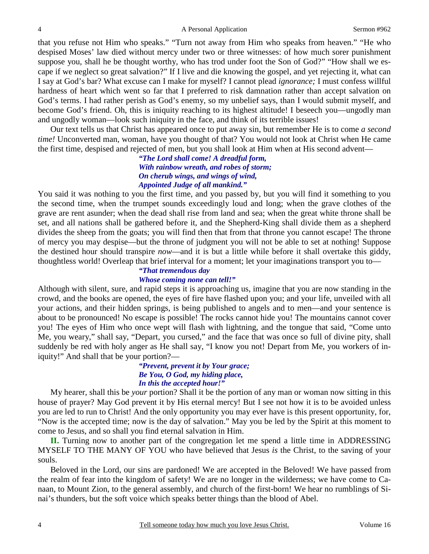that you refuse not Him who speaks." "Turn not away from Him who speaks from heaven." "He who despised Moses' law died without mercy under two or three witnesses: of how much sorer punishment suppose you, shall he be thought worthy, who has trod under foot the Son of God?" "How shall we escape if we neglect so great salvation?" If I live and die knowing the gospel, and yet rejecting it, what can I say at God's bar? What excuse can I make for myself? I cannot plead *ignorance;* I must confess willful hardness of heart which went so far that I preferred to risk damnation rather than accept salvation on God's terms. I had rather perish as God's enemy, so my unbelief says, than I would submit myself, and become God's friend. Oh, this is iniquity reaching to its highest altitude! I beseech you—ungodly man and ungodly woman—look such iniquity in the face, and think of its terrible issues!

Our text tells us that Christ has appeared once to put away sin, but remember He is to come *a second time!* Unconverted man, woman, have you thought of that? You would not look at Christ when He came the first time, despised and rejected of men, but you shall look at Him when at His second advent—

## *"The Lord shall come! A dreadful form, With rainbow wreath, and robes of storm; On cherub wings, and wings of wind, Appointed Judge of all mankind."*

You said it was nothing to you the first time, and you passed by, but you will find it something to you the second time, when the trumpet sounds exceedingly loud and long; when the grave clothes of the grave are rent asunder; when the dead shall rise from land and sea; when the great white throne shall be set, and all nations shall be gathered before it, and the Shepherd-King shall divide them as a shepherd divides the sheep from the goats; you will find then that from that throne you cannot escape! The throne of mercy you may despise—but the throne of judgment you will not be able to set at nothing! Suppose the destined hour should transpire *now*—and it is but a little while before it shall overtake this giddy, thoughtless world! Overleap that brief interval for a moment; let your imaginations transport you to—

#### *"That tremendous day*

#### *Whose coming none can tell!"*

Although with silent, sure, and rapid steps it is approaching us, imagine that you are now standing in the crowd, and the books are opened, the eyes of fire have flashed upon you; and your life, unveiled with all your actions, and their hidden springs, is being published to angels and to men—and your sentence is about to be pronounced! No escape is possible! The rocks cannot hide you! The mountains cannot cover you! The eyes of Him who once wept will flash with lightning, and the tongue that said, "Come unto Me, you weary," shall say, "Depart, you cursed," and the face that was once so full of divine pity, shall suddenly be red with holy anger as He shall say, "I know you not! Depart from Me, you workers of iniquity!" And shall that be your portion?—

#### *"Prevent, prevent it by Your grace; Be You, O God, my hiding place, In this the accepted hour!"*

My hearer, shall this be *your* portion? Shall it be the portion of any man or woman now sitting in this house of prayer? May God prevent it by His eternal mercy! But I see not how it is to be avoided unless you are led to run to Christ! And the only opportunity you may ever have is this present opportunity, for, "Now is the accepted time; now is the day of salvation." May you be led by the Spirit at this moment to come to Jesus, and so shall you find eternal salvation in Him.

**II.** Turning now to another part of the congregation let me spend a little time in ADDRESSING MYSELF TO THE MANY OF YOU who have believed that Jesus *is* the Christ, to the saving of your souls.

Beloved in the Lord, our sins are pardoned! We are accepted in the Beloved! We have passed from the realm of fear into the kingdom of safety! We are no longer in the wilderness; we have come to Canaan, to Mount Zion, to the general assembly, and church of the first-born! We hear no rumblings of Sinai's thunders, but the soft voice which speaks better things than the blood of Abel.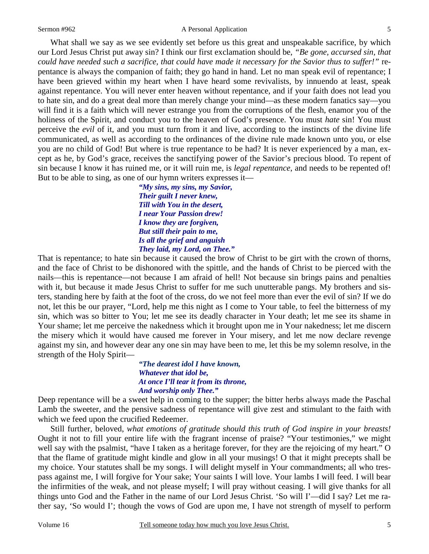#### Sermon #962 A Personal Application

What shall we say as we see evidently set before us this great and unspeakable sacrifice, by which our Lord Jesus Christ put away sin? I think our first exclamation should be, *"Be gone, accursed sin, that could have needed such a sacrifice, that could have made it necessary for the Savior thus to suffer!"* repentance is always the companion of faith; they go hand in hand. Let no man speak evil of repentance; I have been grieved within my heart when I have heard some revivalists, by innuendo at least, speak against repentance. You will never enter heaven without repentance, and if your faith does not lead you to hate sin, and do a great deal more than merely change your mind—as these modern fanatics say—you will find it is a faith which will never estrange you from the corruptions of the flesh, enamor you of the holiness of the Spirit, and conduct you to the heaven of God's presence. You must *hate* sin! You must perceive the *evil* of it, and you must turn from it and live, according to the instincts of the divine life communicated, as well as according to the ordinances of the divine rule made known unto you, or else you are no child of God! But where is true repentance to be had? It is never experienced by a man, except as he, by God's grace, receives the sanctifying power of the Savior's precious blood. To repent of sin because I know it has ruined me, or it will ruin me, is *legal repentance*, and needs to be repented of! But to be able to sing, as one of our hymn writers expresses it—

> *"My sins, my sins, my Savior, Their guilt I never knew, Till with You in the desert, I near Your Passion drew! I know they are forgiven, But still their pain to me, Is all the grief and anguish They laid, my Lord, on Thee."*

That is repentance; to hate sin because it caused the brow of Christ to be girt with the crown of thorns, and the face of Christ to be dishonored with the spittle, and the hands of Christ to be pierced with the nails—this is repentance—not because I am afraid of hell! Not because sin brings pains and penalties with it, but because it made Jesus Christ to suffer for me such unutterable pangs. My brothers and sisters, standing here by faith at the foot of the cross, do we not feel more than ever the evil of sin? If we do not, let this be our prayer, "Lord, help me this night as I come to Your table, to feel the bitterness of my sin, which was so bitter to You; let me see its deadly character in Your death; let me see its shame in Your shame; let me perceive the nakedness which it brought upon me in Your nakedness; let me discern the misery which it would have caused me forever in Your misery, and let me now declare revenge against my sin, and however dear any one sin may have been to me, let this be my solemn resolve, in the strength of the Holy Spirit—

> *"The dearest idol I have known, Whatever that idol be, At once I'll tear it from its throne, And worship only Thee."*

Deep repentance will be a sweet help in coming to the supper; the bitter herbs always made the Paschal Lamb the sweeter, and the pensive sadness of repentance will give zest and stimulant to the faith with which we feed upon the crucified Redeemer.

Still further, beloved, *what emotions of gratitude should this truth of God inspire in your breasts!* Ought it not to fill your entire life with the fragrant incense of praise? "Your testimonies," we might well say with the psalmist, "have I taken as a heritage forever, for they are the rejoicing of my heart." O that the flame of gratitude might kindle and glow in all your musings! O that it might precepts shall be my choice. Your statutes shall be my songs. I will delight myself in Your commandments; all who trespass against me, I will forgive for Your sake; Your saints I will love. Your lambs I will feed. I will bear the infirmities of the weak, and not please myself; I will pray without ceasing. I will give thanks for all things unto God and the Father in the name of our Lord Jesus Christ. 'So will I'—did I say? Let me rather say, 'So would I'; though the vows of God are upon me, I have not strength of myself to perform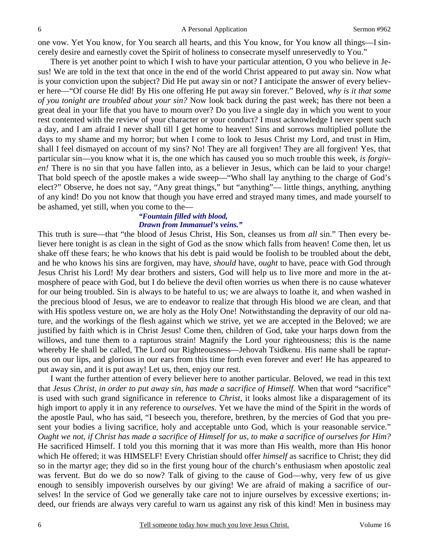one vow. Yet You know, for You search all hearts, and this You know, for You know all things—I sincerely desire and earnestly covet the Spirit of holiness to consecrate myself unreservedly to You."

There is yet another point to which I wish to have your particular attention, O you who believe in Jesus! We are told in the text that once in the end of the world Christ appeared to put away sin. Now what is your conviction upon the subject? Did He put away sin or not? I anticipate the answer of every believer here—"Of course He did! By His one offering He put away sin forever." Beloved, *why is it that some of you tonight are troubled about your sin?* Now look back during the past week; has there not been a great deal in your life that you have to mourn over? Do you live a single day in which you went to your rest contented with the review of your character or your conduct? I must acknowledge I never spent such a day, and I am afraid I never shall till I get home to heaven! Sins and sorrows multiplied pollute the days to my shame and my horror; but when I come to look to Jesus Christ my Lord, and trust in Him, shall I feel dismayed on account of my sins? No! They are all forgiven! They are all forgiven! Yes, that particular sin—you know what it is, the one which has caused you so much trouble this week, *is forgiven!* There is no sin that you have fallen into, as a believer in Jesus, which can be laid to your charge! That bold speech of the apostle makes a wide sweep—"Who shall lay anything to the charge of God's elect?" Observe, he does not say, "Any great things," but "anything"— little things, anything, anything of any kind! Do you not know that though you have erred and strayed many times, and made yourself to be ashamed, yet still, when you come to the—

#### *"Fountain filled with blood, Drawn from Immanuel's veins."*

This truth is sure—that "the blood of Jesus Christ, His Son, cleanses us from *all* sin." Then every believer here tonight is as clean in the sight of God as the snow which falls from heaven! Come then, let us shake off these fears; he who knows that his debt is paid would be foolish to be troubled about the debt, and he who knows his sins are forgiven, may have, *should* have, *ought* to have, peace with God through Jesus Christ his Lord! My dear brothers and sisters, God will help us to live more and more in the atmosphere of peace with God, but I do believe the devil often worries us when there is no cause whatever for our being troubled. Sin is always to be hateful to us; we are always to loathe it, and when washed in the precious blood of Jesus, we are to endeavor to realize that through His blood we are clean, and that with His spotless vesture on, we are holy as the Holy One! Notwithstanding the depravity of our old nature, and the workings of the flesh against which we strive, yet we are accepted in the Beloved; we are justified by faith which is in Christ Jesus! Come then, children of God, take your harps down from the willows, and tune them to a rapturous strain! Magnify the Lord your righteousness; this is the name whereby He shall be called, The Lord our Righteousness—Jehovah Tsidkenu. His name shall be rapturous on our lips, and glorious in our ears from this time forth even forever and ever! He has appeared to put away sin, and it is put away! Let us, then, enjoy our rest.

I want the further attention of every believer here to another particular. Beloved, we read in this text that *Jesus Christ, in order to put away sin, has made a sacrifice of Himself.* When that word "sacrifice" is used with such grand significance in reference to *Christ*, it looks almost like a disparagement of its high import to apply it in any reference to *ourselves*. Yet we have the mind of the Spirit in the words of the apostle Paul, who has said, "I beseech you, therefore, brethren, by the mercies of God that you present your bodies a living sacrifice, holy and acceptable unto God, which is your reasonable service." *Ought we not, if Christ has made a sacrifice of Himself for us, to make a sacrifice of ourselves for Him?*  He sacrificed Himself. I told you this morning that it was more than His wealth, more than His honor which He offered; it was HIMSELF! Every Christian should offer *himself* as sacrifice to Christ; they did so in the martyr age; they did so in the first young hour of the church's enthusiasm when apostolic zeal was fervent. But do we do so now? Talk of giving to the cause of God—why, very few of us give enough to sensibly impoverish ourselves by our giving! We are afraid of making a sacrifice of ourselves! In the service of God we generally take care not to injure ourselves by excessive exertions; indeed, our friends are always very careful to warn us against any risk of this kind! Men in business may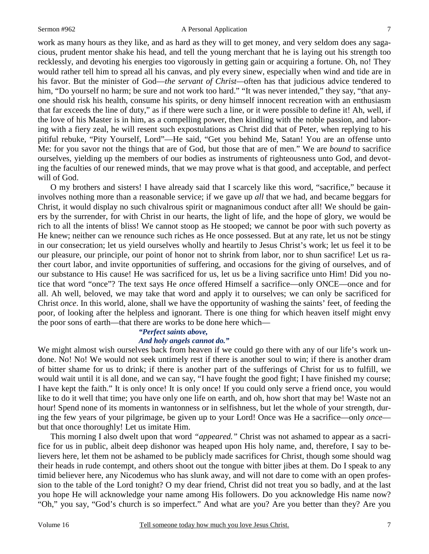#### Sermon #962 A Personal Application

7

work as many hours as they like, and as hard as they will to get money, and very seldom does any sagacious, prudent mentor shake his head, and tell the young merchant that he is laying out his strength too recklessly, and devoting his energies too vigorously in getting gain or acquiring a fortune. Oh, no! They would rather tell him to spread all his canvas, and ply every sinew, especially when wind and tide are in his favor. But the minister of God—*the servant of Christ—*often has that judicious advice tendered to him, "Do yourself no harm; be sure and not work too hard." "It was never intended," they say, "that anyone should risk his health, consume his spirits, or deny himself innocent recreation with an enthusiasm that far exceeds the line of duty," as if there were such a line, or it were possible to define it! Ah, well, if the love of his Master is in him, as a compelling power, then kindling with the noble passion, and laboring with a fiery zeal, he will resent such expostulations as Christ did that of Peter, when replying to his pitiful rebuke, "Pity Yourself, Lord"—He said, "Get you behind Me, Satan! You are an offense unto Me: for you savor not the things that are of God, but those that are of men." We are *bound* to sacrifice ourselves, yielding up the members of our bodies as instruments of righteousness unto God, and devoting the faculties of our renewed minds, that we may prove what is that good, and acceptable, and perfect will of God.

O my brothers and sisters! I have already said that I scarcely like this word, "sacrifice," because it involves nothing more than a reasonable service; if we gave up *all* that we had, and became beggars for Christ, it would display no such chivalrous spirit or magnanimous conduct after all! We should be gainers by the surrender, for with Christ in our hearts, the light of life, and the hope of glory, we would be rich to all the intents of bliss! We cannot stoop as He stooped; we cannot be poor with such poverty as He knew; neither can we renounce such riches as He once possessed. But at any rate, let us not be stingy in our consecration; let us yield ourselves wholly and heartily to Jesus Christ's work; let us feel it to be our pleasure, our principle, our point of honor not to shrink from labor, nor to shun sacrifice! Let us rather court labor, and invite opportunities of suffering, and occasions for the giving of ourselves, and of our substance to His cause! He was sacrificed for us, let us be a living sacrifice unto Him! Did you notice that word "once"? The text says He *once* offered Himself a sacrifice—only ONCE—once and for all. Ah well, beloved, we may take that word and apply it to ourselves; we can only be sacrificed for Christ *once*. In this world, alone, shall we have the opportunity of washing the saints' feet, of feeding the poor, of looking after the helpless and ignorant. There is one thing for which heaven itself might envy the poor sons of earth—that there are works to be done here which—

#### *"Perfect saints above, And holy angels cannot do."*

We might almost wish ourselves back from heaven if we could go there with any of our life's work undone. No! No! We would not seek untimely rest if there is another soul to win; if there is another dram of bitter shame for us to drink; if there is another part of the sufferings of Christ for us to fulfill, we would wait until it is all done, and we can say, "I have fought the good fight; I have finished my course; I have kept the faith." It is only once! It is only once! If you could only serve a friend once, you would like to do it well that time; you have only one life on earth, and oh, how short that may be! Waste not an hour! Spend none of its moments in wantonness or in selfishness, but let the whole of your strength, during the few years of your pilgrimage, be given up to your Lord! Once was He a sacrifice—only *once* but that once thoroughly! Let us imitate Him.

This morning I also dwelt upon that word *"appeared."* Christ was not ashamed to appear as a sacrifice for us in public, albeit deep dishonor was heaped upon His holy name, and, therefore, I say to believers here, let them not be ashamed to be publicly made sacrifices for Christ, though some should wag their heads in rude contempt, and others shoot out the tongue with bitter jibes at them. Do I speak to any timid believer here, any Nicodemus who has slunk away, and will not dare to come with an open profession to the table of the Lord tonight? O my dear friend, Christ did not treat you so badly, and at the last you hope He will acknowledge your name among His followers. Do you acknowledge His name now? "Oh," you say, "God's church is so imperfect." And what are you? Are you better than they? Are you